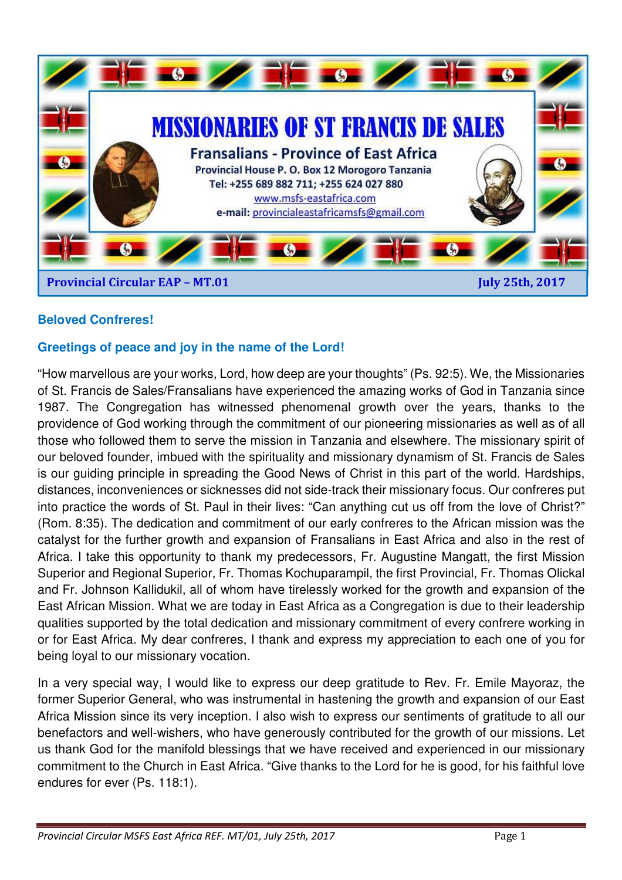

# **Beloved Confreres!**

### **Greetings of peace and joy in the name of the Lord!**

"How marvellous are your works, Lord, how deep are your thoughts" (Ps. 92:5). We, the Missionaries of St. Francis de Sales/Fransalians have experienced the amazing works of God in Tanzania since 1987. The Congregation has witnessed phenomenal growth over the years, thanks to the providence of God working through the commitment of our pioneering missionaries as well as of all those who followed them to serve the mission in Tanzania and elsewhere. The missionary spirit of our beloved founder, imbued with the spirituality and missionary dynamism of St. Francis de Sales is our guiding principle in spreading the Good News of Christ in this part of the world. Hardships, distances, inconveniences or sicknesses did not side-track their missionary focus. Our confreres put into practice the words of St. Paul in their lives: "Can anything cut us off from the love of Christ?" (Rom. 8:35). The dedication and commitment of our early confreres to the African mission was the catalyst for the further growth and expansion of Fransalians in East Africa and also in the rest of Africa. I take this opportunity to thank my predecessors, Fr. Augustine Mangatt, the first Mission Superior and Regional Superior, Fr. Thomas Kochuparampil, the first Provincial, Fr. Thomas Olickal and Fr. Johnson Kallidukil, all of whom have tirelessly worked for the growth and expansion of the East African Mission. What we are today in East Africa as a Congregation is due to their leadership qualities supported by the total dedication and missionary commitment of every confrere working in or for East Africa. My dear confreres, I thank and express my appreciation to each one of you for being loyal to our missionary vocation.

In a very special way, I would like to express our deep gratitude to Rev. Fr. Emile Mayoraz, the former Superior General, who was instrumental in hastening the growth and expansion of our East Africa Mission since its very inception. I also wish to express our sentiments of gratitude to all our benefactors and well-wishers, who have generously contributed for the growth of our missions. Let us thank God for the manifold blessings that we have received and experienced in our missionary commitment to the Church in East Africa. "Give thanks to the Lord for he is good, for his faithful love endures for ever (Ps. 118:1).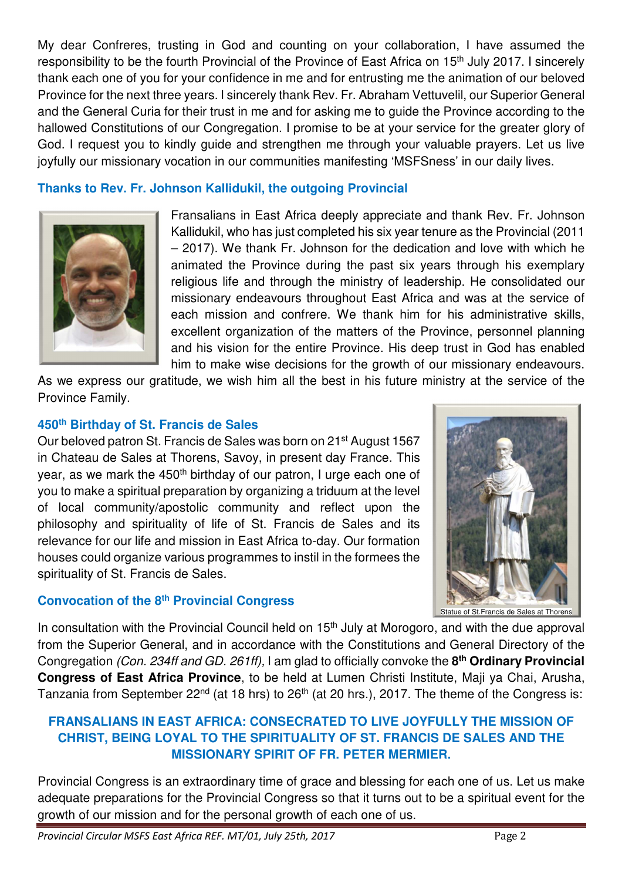My dear Confreres, trusting in God and counting on your collaboration, I have assumed the responsibility to be the fourth Provincial of the Province of East Africa on 15<sup>th</sup> July 2017. I sincerely thank each one of you for your confidence in me and for entrusting me the animation of our beloved Province for the next three years. I sincerely thank Rev. Fr. Abraham Vettuvelil, our Superior General and the General Curia for their trust in me and for asking me to guide the Province according to the hallowed Constitutions of our Congregation. I promise to be at your service for the greater glory of God. I request you to kindly guide and strengthen me through your valuable prayers. Let us live joyfully our missionary vocation in our communities manifesting 'MSFSness' in our daily lives.

# **Thanks to Rev. Fr. Johnson Kallidukil, the outgoing Provincial**



Fransalians in East Africa deeply appreciate and thank Rev. Fr. Johnson Kallidukil, who has just completed his six year tenure as the Provincial (2011 – 2017). We thank Fr. Johnson for the dedication and love with which he animated the Province during the past six years through his exemplary religious life and through the ministry of leadership. He consolidated our missionary endeavours throughout East Africa and was at the service of each mission and confrere. We thank him for his administrative skills, excellent organization of the matters of the Province, personnel planning and his vision for the entire Province. His deep trust in God has enabled him to make wise decisions for the growth of our missionary endeavours.

As we express our gratitude, we wish him all the best in his future ministry at the service of the Province Family.

### **450th Birthday of St. Francis de Sales**

Our beloved patron St. Francis de Sales was born on 21st August 1567 in Chateau de Sales at Thorens, Savoy, in present day France. This year, as we mark the 450<sup>th</sup> birthday of our patron, I urge each one of you to make a spiritual preparation by organizing a triduum at the level of local community/apostolic community and reflect upon the philosophy and spirituality of life of St. Francis de Sales and its relevance for our life and mission in East Africa to-day. Our formation houses could organize various programmes to instil in the formees the spirituality of St. Francis de Sales.

# **Convocation of the 8th Provincial Congress**



Statue of St.Francis de Sales at Thorens

In consultation with the Provincial Council held on 15<sup>th</sup> July at Morogoro, and with the due approval from the Superior General, and in accordance with the Constitutions and General Directory of the Congregation (Con. 234ff and GD. 261ff), I am glad to officially convoke the **8 th Ordinary Provincial Congress of East Africa Province**, to be held at Lumen Christi Institute, Maji ya Chai, Arusha, Tanzania from September 22<sup>nd</sup> (at 18 hrs) to 26<sup>th</sup> (at 20 hrs.), 2017. The theme of the Congress is:

### **FRANSALIANS IN EAST AFRICA: CONSECRATED TO LIVE JOYFULLY THE MISSION OF CHRIST, BEING LOYAL TO THE SPIRITUALITY OF ST. FRANCIS DE SALES AND THE MISSIONARY SPIRIT OF FR. PETER MERMIER.**

Provincial Congress is an extraordinary time of grace and blessing for each one of us. Let us make adequate preparations for the Provincial Congress so that it turns out to be a spiritual event for the growth of our mission and for the personal growth of each one of us.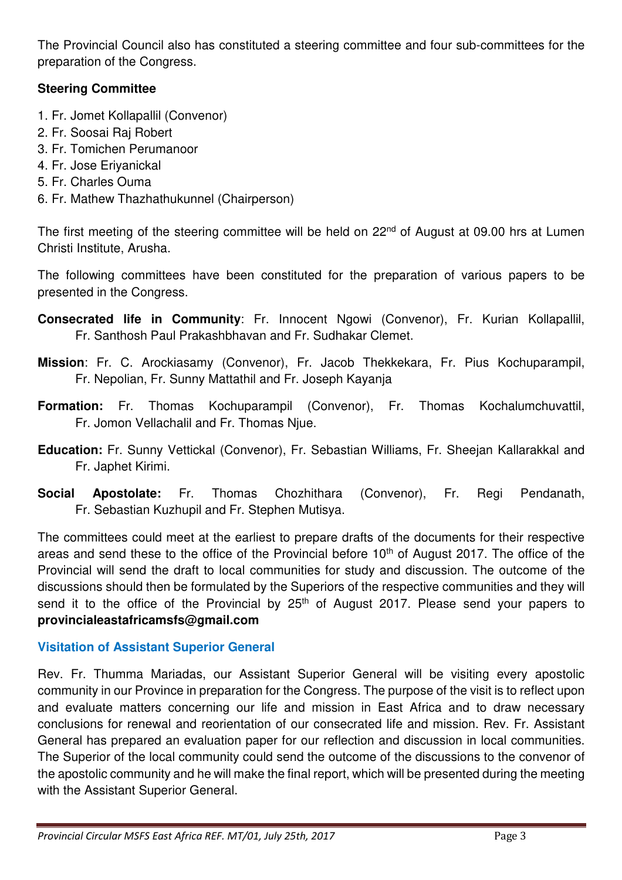The Provincial Council also has constituted a steering committee and four sub-committees for the preparation of the Congress.

# **Steering Committee**

- 1. Fr. Jomet Kollapallil (Convenor)
- 2. Fr. Soosai Raj Robert
- 3. Fr. Tomichen Perumanoor
- 4. Fr. Jose Eriyanickal
- 5. Fr. Charles Ouma
- 6. Fr. Mathew Thazhathukunnel (Chairperson)

The first meeting of the steering committee will be held on 22<sup>nd</sup> of August at 09.00 hrs at Lumen Christi Institute, Arusha.

The following committees have been constituted for the preparation of various papers to be presented in the Congress.

- **Consecrated life in Community**: Fr. Innocent Ngowi (Convenor), Fr. Kurian Kollapallil, Fr. Santhosh Paul Prakashbhavan and Fr. Sudhakar Clemet.
- **Mission**: Fr. C. Arockiasamy (Convenor), Fr. Jacob Thekkekara, Fr. Pius Kochuparampil, Fr. Nepolian, Fr. Sunny Mattathil and Fr. Joseph Kayanja
- **Formation:** Fr. Thomas Kochuparampil (Convenor), Fr. Thomas Kochalumchuvattil, Fr. Jomon Vellachalil and Fr. Thomas Njue.
- **Education:** Fr. Sunny Vettickal (Convenor), Fr. Sebastian Williams, Fr. Sheejan Kallarakkal and Fr. Japhet Kirimi.
- **Social Apostolate:** Fr. Thomas Chozhithara (Convenor), Fr. Regi Pendanath, Fr. Sebastian Kuzhupil and Fr. Stephen Mutisya.

The committees could meet at the earliest to prepare drafts of the documents for their respective areas and send these to the office of the Provincial before 10<sup>th</sup> of August 2017. The office of the Provincial will send the draft to local communities for study and discussion. The outcome of the discussions should then be formulated by the Superiors of the respective communities and they will send it to the office of the Provincial by  $25<sup>th</sup>$  of August 2017. Please send your papers to **provincialeastafricamsfs@gmail.com**

# **Visitation of Assistant Superior General**

Rev. Fr. Thumma Mariadas, our Assistant Superior General will be visiting every apostolic community in our Province in preparation for the Congress. The purpose of the visit is to reflect upon and evaluate matters concerning our life and mission in East Africa and to draw necessary conclusions for renewal and reorientation of our consecrated life and mission. Rev. Fr. Assistant General has prepared an evaluation paper for our reflection and discussion in local communities. The Superior of the local community could send the outcome of the discussions to the convenor of the apostolic community and he will make the final report, which will be presented during the meeting with the Assistant Superior General.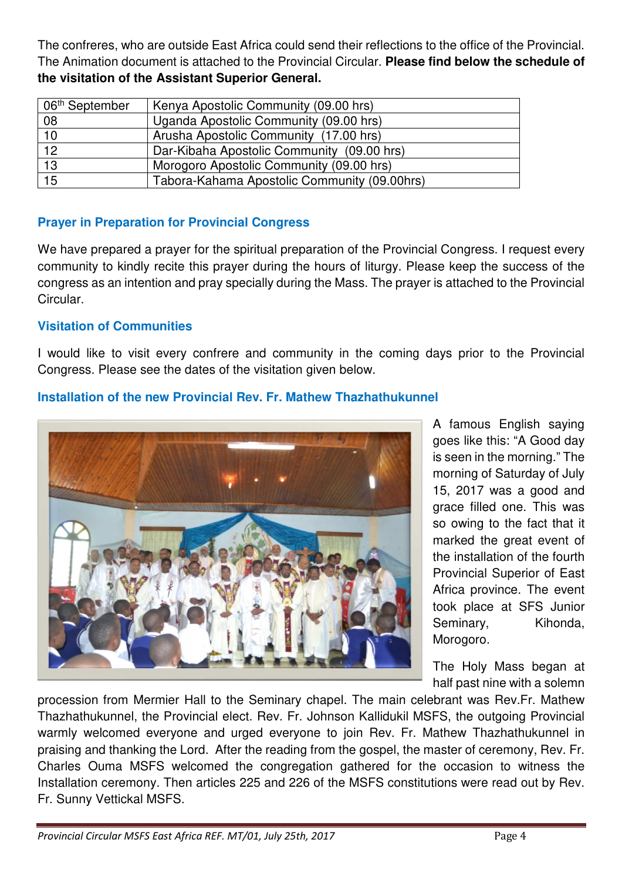The confreres, who are outside East Africa could send their reflections to the office of the Provincial. The Animation document is attached to the Provincial Circular. **Please find below the schedule of the visitation of the Assistant Superior General.** 

| 06 <sup>th</sup> September | Kenya Apostolic Community (09.00 hrs)        |
|----------------------------|----------------------------------------------|
| 08                         | Uganda Apostolic Community (09.00 hrs)       |
| 10                         | Arusha Apostolic Community (17.00 hrs)       |
| 12                         | Dar-Kibaha Apostolic Community (09.00 hrs)   |
| 13                         | Morogoro Apostolic Community (09.00 hrs)     |
| 15                         | Tabora-Kahama Apostolic Community (09.00hrs) |

### **Prayer in Preparation for Provincial Congress**

We have prepared a prayer for the spiritual preparation of the Provincial Congress. I request every community to kindly recite this prayer during the hours of liturgy. Please keep the success of the congress as an intention and pray specially during the Mass. The prayer is attached to the Provincial Circular.

#### **Visitation of Communities**

I would like to visit every confrere and community in the coming days prior to the Provincial Congress. Please see the dates of the visitation given below.

#### **Installation of the new Provincial Rev. Fr. Mathew Thazhathukunnel**



A famous English saying goes like this: "A Good day is seen in the morning." The morning of Saturday of July 15, 2017 was a good and grace filled one. This was so owing to the fact that it marked the great event of the installation of the fourth Provincial Superior of East Africa province. The event took place at SFS Junior Seminary, Kihonda, Morogoro.

The Holy Mass began at half past nine with a solemn

procession from Mermier Hall to the Seminary chapel. The main celebrant was Rev.Fr. Mathew Thazhathukunnel, the Provincial elect. Rev. Fr. Johnson Kallidukil MSFS, the outgoing Provincial warmly welcomed everyone and urged everyone to join Rev. Fr. Mathew Thazhathukunnel in praising and thanking the Lord. After the reading from the gospel, the master of ceremony, Rev. Fr. Charles Ouma MSFS welcomed the congregation gathered for the occasion to witness the Installation ceremony. Then articles 225 and 226 of the MSFS constitutions were read out by Rev. Fr. Sunny Vettickal MSFS.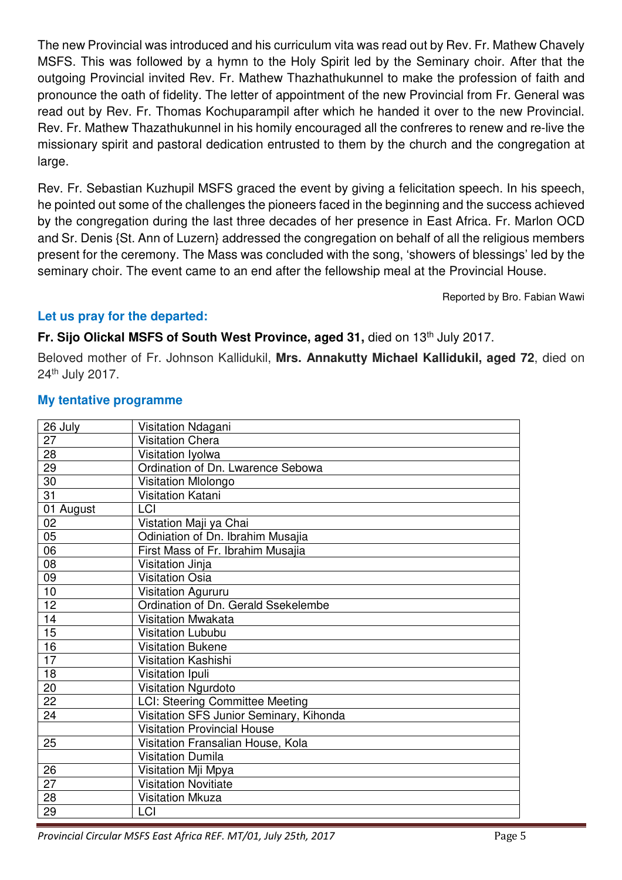The new Provincial was introduced and his curriculum vita was read out by Rev. Fr. Mathew Chavely MSFS. This was followed by a hymn to the Holy Spirit led by the Seminary choir. After that the outgoing Provincial invited Rev. Fr. Mathew Thazhathukunnel to make the profession of faith and pronounce the oath of fidelity. The letter of appointment of the new Provincial from Fr. General was read out by Rev. Fr. Thomas Kochuparampil after which he handed it over to the new Provincial. Rev. Fr. Mathew Thazathukunnel in his homily encouraged all the confreres to renew and re-live the missionary spirit and pastoral dedication entrusted to them by the church and the congregation at large.

Rev. Fr. Sebastian Kuzhupil MSFS graced the event by giving a felicitation speech. In his speech, he pointed out some of the challenges the pioneers faced in the beginning and the success achieved by the congregation during the last three decades of her presence in East Africa. Fr. Marlon OCD and Sr. Denis {St. Ann of Luzern} addressed the congregation on behalf of all the religious members present for the ceremony. The Mass was concluded with the song, 'showers of blessings' led by the seminary choir. The event came to an end after the fellowship meal at the Provincial House.

Reported by Bro. Fabian Wawi

### **Let us pray for the departed:**

#### **Fr. Sijo Olickal MSFS of South West Province, aged 31, died on 13<sup>th</sup> July 2017.**

Beloved mother of Fr. Johnson Kallidukil, **Mrs. Annakutty Michael Kallidukil, aged 72**, died on 24th July 2017.

| 26 July         | Visitation Ndagani                      |
|-----------------|-----------------------------------------|
| $\overline{27}$ | <b>Visitation Chera</b>                 |
| 28              | Visitation Iyolwa                       |
| 29              | Ordination of Dn. Lwarence Sebowa       |
| 30              | Visitation Mlolongo                     |
| $\overline{31}$ | Visitation Katani                       |
| 01 August       | LCI                                     |
| 02              | Vistation Maji ya Chai                  |
| 05              | Odiniation of Dn. Ibrahim Musajia       |
| 06              | First Mass of Fr. Ibrahim Musajia       |
| $\overline{08}$ | Visitation Jinja                        |
| 09              | <b>Visitation Osia</b>                  |
| 10              | Visitation Agururu                      |
| 12              | Ordination of Dn. Gerald Ssekelembe     |
| 14              | <b>Visitation Mwakata</b>               |
| 15              | <b>Visitation Lububu</b>                |
| 16              | <b>Visitation Bukene</b>                |
| 17              | <b>Visitation Kashishi</b>              |
| 18              | Visitation Ipuli                        |
| 20              | Visitation Ngurdoto                     |
| 22              | <b>LCI: Steering Committee Meeting</b>  |
| $\overline{24}$ | Visitation SFS Junior Seminary, Kihonda |
|                 | <b>Visitation Provincial House</b>      |
| 25              | Visitation Fransalian House, Kola       |
|                 | <b>Visitation Dumila</b>                |
| 26              | Visitation Mji Mpya                     |
| 27              | <b>Visitation Novitiate</b>             |
| 28              | <b>Visitation Mkuza</b>                 |
| 29              | LCI                                     |

#### **My tentative programme**